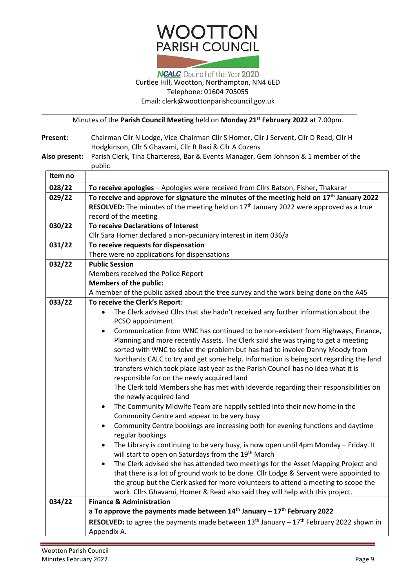## **WOOTTON PARISH COUNCIL**

## **NCALC** Council of the Year 2020 Curtlee Hill, Wootton, Northampton, NN4 6ED Telephone: 01604 705055 Email: [clerk@woottonparishcouncil.gov.uk](mailto:clerk@woottonparishcouncil.gov.uk)

Minutes of the **Parish Council Meeting** held on **Monday 21st February 2022** at 7.00pm.

**Present:** Chairman Cllr N Lodge, Vice-Chairman Cllr S Homer, Cllr J Servent, Cllr D Read, Cllr H Hodgkinson, Cllr S Ghavami, Cllr R Baxi & Cllr A Cozens

| Also present: Parish Clerk, Tina Charteress, Bar & Events Manager, Gem Johnson & 1 member of the |  |  |
|--------------------------------------------------------------------------------------------------|--|--|
| public                                                                                           |  |  |

| Item no |                                                                                                                                 |  |  |  |  |  |
|---------|---------------------------------------------------------------------------------------------------------------------------------|--|--|--|--|--|
| 028/22  | To receive apologies - Apologies were received from Cllrs Batson, Fisher, Thakarar                                              |  |  |  |  |  |
| 029/22  | To receive and approve for signature the minutes of the meeting held on 17 <sup>th</sup> January 2022                           |  |  |  |  |  |
|         | <b>RESOLVED:</b> The minutes of the meeting held on $17th$ January 2022 were approved as a true<br>record of the meeting        |  |  |  |  |  |
|         |                                                                                                                                 |  |  |  |  |  |
| 030/22  | To receive Declarations of Interest                                                                                             |  |  |  |  |  |
|         | Cllr Sara Homer declared a non-pecuniary interest in item 036/a                                                                 |  |  |  |  |  |
| 031/22  | To receive requests for dispensation<br>There were no applications for dispensations                                            |  |  |  |  |  |
|         |                                                                                                                                 |  |  |  |  |  |
| 032/22  | <b>Public Session</b><br>Members received the Police Report                                                                     |  |  |  |  |  |
|         |                                                                                                                                 |  |  |  |  |  |
|         | <b>Members of the public:</b>                                                                                                   |  |  |  |  |  |
|         | A member of the public asked about the tree survey and the work being done on the A45                                           |  |  |  |  |  |
| 033/22  | To receive the Clerk's Report:                                                                                                  |  |  |  |  |  |
|         | The Clerk advised Cllrs that she hadn't received any further information about the                                              |  |  |  |  |  |
|         | PCSO appointment                                                                                                                |  |  |  |  |  |
|         | Communication from WNC has continued to be non-existent from Highways, Finance,                                                 |  |  |  |  |  |
|         | Planning and more recently Assets. The Clerk said she was trying to get a meeting                                               |  |  |  |  |  |
|         | sorted with WNC to solve the problem but has had to involve Danny Moody from                                                    |  |  |  |  |  |
|         | Northants CALC to try and get some help. Information is being sort regarding the land                                           |  |  |  |  |  |
|         | transfers which took place last year as the Parish Council has no idea what it is<br>responsible for on the newly acquired land |  |  |  |  |  |
|         | The Clerk told Members she has met with Ideverde regarding their responsibilities on                                            |  |  |  |  |  |
|         | the newly acquired land                                                                                                         |  |  |  |  |  |
|         | The Community Midwife Team are happily settled into their new home in the<br>$\bullet$                                          |  |  |  |  |  |
|         | Community Centre and appear to be very busy                                                                                     |  |  |  |  |  |
|         | Community Centre bookings are increasing both for evening functions and daytime<br>$\bullet$                                    |  |  |  |  |  |
|         | regular bookings                                                                                                                |  |  |  |  |  |
|         | The Library is continuing to be very busy, is now open until 4pm Monday - Friday. It<br>٠                                       |  |  |  |  |  |
|         | will start to open on Saturdays from the 19 <sup>th</sup> March                                                                 |  |  |  |  |  |
|         | The Clerk advised she has attended two meetings for the Asset Mapping Project and<br>$\bullet$                                  |  |  |  |  |  |
|         | that there is a lot of ground work to be done. Cllr Lodge & Servent were appointed to                                           |  |  |  |  |  |
|         | the group but the Clerk asked for more volunteers to attend a meeting to scope the                                              |  |  |  |  |  |
|         | work. Cllrs Ghavami, Homer & Read also said they will help with this project.                                                   |  |  |  |  |  |
| 034/22  | <b>Finance &amp; Administration</b>                                                                                             |  |  |  |  |  |
|         | a To approve the payments made between $14th$ January - $17th$ February 2022                                                    |  |  |  |  |  |
|         | <b>RESOLVED:</b> to agree the payments made between 13 <sup>th</sup> January – $17^{th}$ February 2022 shown in                 |  |  |  |  |  |
|         | Appendix A.                                                                                                                     |  |  |  |  |  |

 $\overline{\phantom{a}}$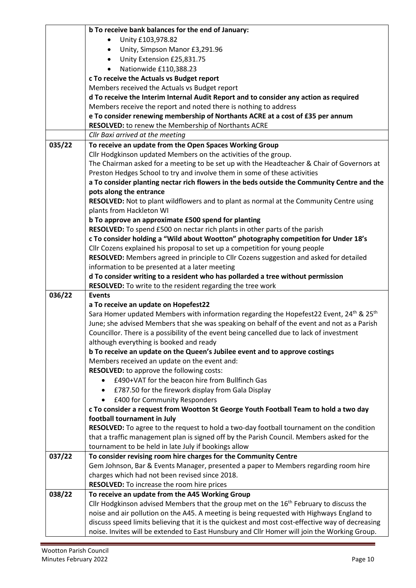|        | b To receive bank balances for the end of January:                                                                                                                                               |  |  |  |  |
|--------|--------------------------------------------------------------------------------------------------------------------------------------------------------------------------------------------------|--|--|--|--|
|        | Unity £103,978.82                                                                                                                                                                                |  |  |  |  |
|        | Unity, Simpson Manor £3,291.96                                                                                                                                                                   |  |  |  |  |
|        | Unity Extension £25,831.75<br>$\bullet$                                                                                                                                                          |  |  |  |  |
|        | Nationwide £110,388.23                                                                                                                                                                           |  |  |  |  |
|        | c To receive the Actuals vs Budget report                                                                                                                                                        |  |  |  |  |
|        | Members received the Actuals vs Budget report                                                                                                                                                    |  |  |  |  |
|        | d To receive the Interim Internal Audit Report and to consider any action as required                                                                                                            |  |  |  |  |
|        | Members receive the report and noted there is nothing to address                                                                                                                                 |  |  |  |  |
|        | e To consider renewing membership of Northants ACRE at a cost of £35 per annum                                                                                                                   |  |  |  |  |
|        | RESOLVED: to renew the Membership of Northants ACRE                                                                                                                                              |  |  |  |  |
|        | Cllr Baxi arrived at the meeting                                                                                                                                                                 |  |  |  |  |
| 035/22 | To receive an update from the Open Spaces Working Group                                                                                                                                          |  |  |  |  |
|        | Cllr Hodgkinson updated Members on the activities of the group.                                                                                                                                  |  |  |  |  |
|        | The Chairman asked for a meeting to be set up with the Headteacher & Chair of Governors at                                                                                                       |  |  |  |  |
|        | Preston Hedges School to try and involve them in some of these activities                                                                                                                        |  |  |  |  |
|        | a To consider planting nectar rich flowers in the beds outside the Community Centre and the                                                                                                      |  |  |  |  |
|        | pots along the entrance                                                                                                                                                                          |  |  |  |  |
|        | RESOLVED: Not to plant wildflowers and to plant as normal at the Community Centre using                                                                                                          |  |  |  |  |
|        | plants from Hackleton WI                                                                                                                                                                         |  |  |  |  |
|        | b To approve an approximate £500 spend for planting                                                                                                                                              |  |  |  |  |
|        | RESOLVED: To spend £500 on nectar rich plants in other parts of the parish                                                                                                                       |  |  |  |  |
|        | c To consider holding a "Wild about Wootton" photography competition for Under 18's                                                                                                              |  |  |  |  |
|        | Cllr Cozens explained his proposal to set up a competition for young people                                                                                                                      |  |  |  |  |
|        | RESOLVED: Members agreed in principle to Cllr Cozens suggestion and asked for detailed                                                                                                           |  |  |  |  |
|        | information to be presented at a later meeting                                                                                                                                                   |  |  |  |  |
|        | d To consider writing to a resident who has pollarded a tree without permission                                                                                                                  |  |  |  |  |
|        | RESOLVED: To write to the resident regarding the tree work                                                                                                                                       |  |  |  |  |
|        |                                                                                                                                                                                                  |  |  |  |  |
| 036/22 | <b>Events</b>                                                                                                                                                                                    |  |  |  |  |
|        | a To receive an update on Hopefest22                                                                                                                                                             |  |  |  |  |
|        | Sara Homer updated Members with information regarding the Hopefest22 Event, 24 <sup>th</sup> & 25 <sup>th</sup>                                                                                  |  |  |  |  |
|        | June; she advised Members that she was speaking on behalf of the event and not as a Parish                                                                                                       |  |  |  |  |
|        | Councillor. There is a possibility of the event being cancelled due to lack of investment                                                                                                        |  |  |  |  |
|        | although everything is booked and ready                                                                                                                                                          |  |  |  |  |
|        | b To receive an update on the Queen's Jubilee event and to approve costings                                                                                                                      |  |  |  |  |
|        | Members received an update on the event and:                                                                                                                                                     |  |  |  |  |
|        | RESOLVED: to approve the following costs:                                                                                                                                                        |  |  |  |  |
|        | £490+VAT for the beacon hire from Bullfinch Gas                                                                                                                                                  |  |  |  |  |
|        | £787.50 for the firework display from Gala Display                                                                                                                                               |  |  |  |  |
|        | £400 for Community Responders                                                                                                                                                                    |  |  |  |  |
|        | c To consider a request from Wootton St George Youth Football Team to hold a two day                                                                                                             |  |  |  |  |
|        | football tournament in July                                                                                                                                                                      |  |  |  |  |
|        | RESOLVED: To agree to the request to hold a two-day football tournament on the condition                                                                                                         |  |  |  |  |
|        | that a traffic management plan is signed off by the Parish Council. Members asked for the                                                                                                        |  |  |  |  |
|        | tournament to be held in late July if bookings allow                                                                                                                                             |  |  |  |  |
| 037/22 | To consider revising room hire charges for the Community Centre                                                                                                                                  |  |  |  |  |
|        | Gem Johnson, Bar & Events Manager, presented a paper to Members regarding room hire                                                                                                              |  |  |  |  |
|        | charges which had not been revised since 2018.                                                                                                                                                   |  |  |  |  |
|        | <b>RESOLVED:</b> To increase the room hire prices                                                                                                                                                |  |  |  |  |
| 038/22 | To receive an update from the A45 Working Group                                                                                                                                                  |  |  |  |  |
|        | Cllr Hodgkinson advised Members that the group met on the 16 <sup>th</sup> February to discuss the                                                                                               |  |  |  |  |
|        | noise and air pollution on the A45. A meeting is being requested with Highways England to                                                                                                        |  |  |  |  |
|        | discuss speed limits believing that it is the quickest and most cost-effective way of decreasing<br>noise. Invites will be extended to East Hunsbury and Cllr Homer will join the Working Group. |  |  |  |  |

t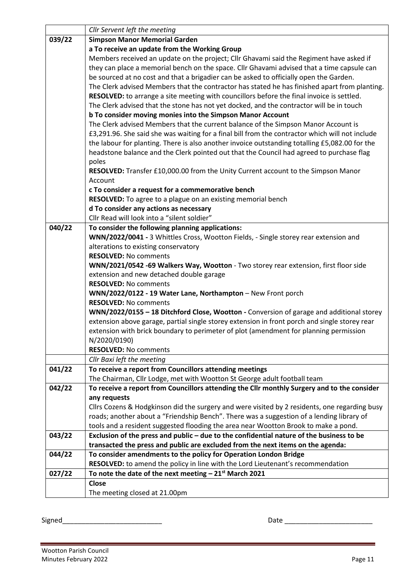|        | Cllr Servent left the meeting                                                                   |  |  |  |  |  |
|--------|-------------------------------------------------------------------------------------------------|--|--|--|--|--|
| 039/22 | <b>Simpson Manor Memorial Garden</b>                                                            |  |  |  |  |  |
|        | a To receive an update from the Working Group                                                   |  |  |  |  |  |
|        | Members received an update on the project; Cllr Ghavami said the Regiment have asked if         |  |  |  |  |  |
|        | they can place a memorial bench on the space. Cllr Ghavami advised that a time capsule can      |  |  |  |  |  |
|        | be sourced at no cost and that a brigadier can be asked to officially open the Garden.          |  |  |  |  |  |
|        | The Clerk advised Members that the contractor has stated he has finished apart from planting.   |  |  |  |  |  |
|        | RESOLVED: to arrange a site meeting with councillors before the final invoice is settled.       |  |  |  |  |  |
|        | The Clerk advised that the stone has not yet docked, and the contractor will be in touch        |  |  |  |  |  |
|        | b To consider moving monies into the Simpson Manor Account                                      |  |  |  |  |  |
|        | The Clerk advised Members that the current balance of the Simpson Manor Account is              |  |  |  |  |  |
|        | £3,291.96. She said she was waiting for a final bill from the contractor which will not include |  |  |  |  |  |
|        | the labour for planting. There is also another invoice outstanding totalling £5,082.00 for the  |  |  |  |  |  |
|        | headstone balance and the Clerk pointed out that the Council had agreed to purchase flag        |  |  |  |  |  |
|        | poles                                                                                           |  |  |  |  |  |
|        | RESOLVED: Transfer £10,000.00 from the Unity Current account to the Simpson Manor               |  |  |  |  |  |
|        | Account                                                                                         |  |  |  |  |  |
|        | c To consider a request for a commemorative bench                                               |  |  |  |  |  |
|        | RESOLVED: To agree to a plague on an existing memorial bench                                    |  |  |  |  |  |
|        | d To consider any actions as necessary                                                          |  |  |  |  |  |
|        | Cllr Read will look into a "silent soldier"                                                     |  |  |  |  |  |
| 040/22 | To consider the following planning applications:                                                |  |  |  |  |  |
|        | WNN/2022/0041 - 3 Whittles Cross, Wootton Fields, - Single storey rear extension and            |  |  |  |  |  |
|        | alterations to existing conservatory                                                            |  |  |  |  |  |
|        | <b>RESOLVED: No comments</b>                                                                    |  |  |  |  |  |
|        | WNN/2021/0542 -69 Walkers Way, Wootton - Two storey rear extension, first floor side            |  |  |  |  |  |
|        | extension and new detached double garage                                                        |  |  |  |  |  |
|        | <b>RESOLVED: No comments</b>                                                                    |  |  |  |  |  |
|        | WNN/2022/0122 - 19 Water Lane, Northampton - New Front porch                                    |  |  |  |  |  |
|        | <b>RESOLVED: No comments</b>                                                                    |  |  |  |  |  |
|        | WNN/2022/0155 - 18 Ditchford Close, Wootton - Conversion of garage and additional storey        |  |  |  |  |  |
|        | extension above garage, partial single storey extension in front porch and single storey rear   |  |  |  |  |  |
|        | extension with brick boundary to perimeter of plot (amendment for planning permission           |  |  |  |  |  |
|        | N/2020/0190)                                                                                    |  |  |  |  |  |
|        | <b>RESOLVED: No comments</b>                                                                    |  |  |  |  |  |
|        | Cllr Baxi left the meeting                                                                      |  |  |  |  |  |
| 041/22 | To receive a report from Councillors attending meetings                                         |  |  |  |  |  |
|        | The Chairman, Cllr Lodge, met with Wootton St George adult football team                        |  |  |  |  |  |
| 042/22 | To receive a report from Councillors attending the Cllr monthly Surgery and to the consider     |  |  |  |  |  |
|        | any requests                                                                                    |  |  |  |  |  |
|        | Cllrs Cozens & Hodgkinson did the surgery and were visited by 2 residents, one regarding busy   |  |  |  |  |  |
|        | roads; another about a "Friendship Bench". There was a suggestion of a lending library of       |  |  |  |  |  |
|        | tools and a resident suggested flooding the area near Wootton Brook to make a pond.             |  |  |  |  |  |
| 043/22 | Exclusion of the press and public - due to the confidential nature of the business to be        |  |  |  |  |  |
|        | transacted the press and public are excluded from the next items on the agenda:                 |  |  |  |  |  |
| 044/22 | To consider amendments to the policy for Operation London Bridge                                |  |  |  |  |  |
|        | RESOLVED: to amend the policy in line with the Lord Lieutenant's recommendation                 |  |  |  |  |  |
| 027/22 | To note the date of the next meeting $-21st$ March 2021                                         |  |  |  |  |  |
|        | <b>Close</b>                                                                                    |  |  |  |  |  |
|        | The meeting closed at 21.00pm                                                                   |  |  |  |  |  |

Signed\_\_\_\_\_\_\_\_\_\_\_\_\_\_\_\_\_\_\_\_\_\_\_\_\_\_ Date \_\_\_\_\_\_\_\_\_\_\_\_\_\_\_\_\_\_\_\_\_\_\_